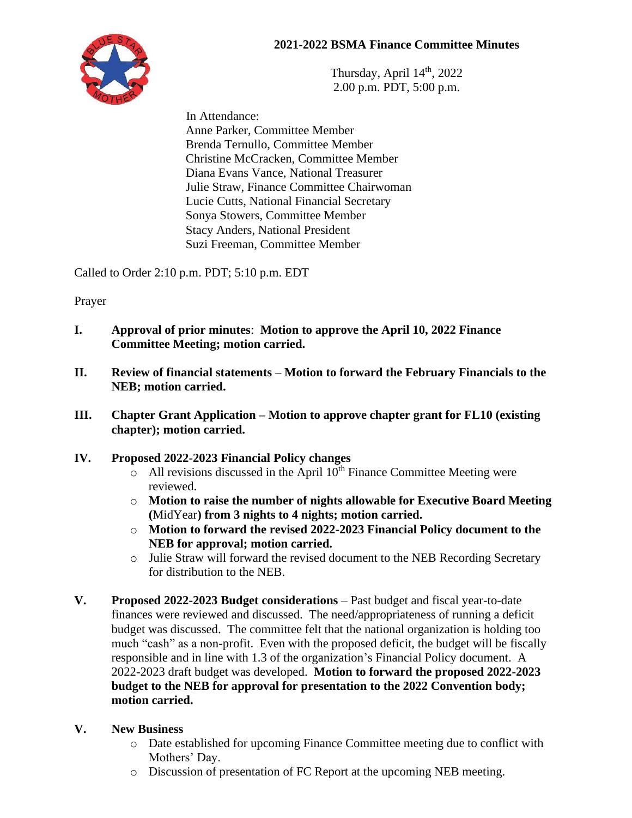## **2021-2022 BSMA Finance Committee Minutes**



Thursday, April  $14<sup>th</sup>$ , 2022 2.00 p.m. PDT, 5:00 p.m.

 In Attendance: Anne Parker, Committee Member Brenda Ternullo, Committee Member Christine McCracken, Committee Member Diana Evans Vance, National Treasurer Julie Straw, Finance Committee Chairwoman Lucie Cutts, National Financial Secretary Sonya Stowers, Committee Member Stacy Anders, National President Suzi Freeman, Committee Member

Called to Order 2:10 p.m. PDT; 5:10 p.m. EDT

Prayer

- **I. Approval of prior minutes**: **Motion to approve the April 10, 2022 Finance Committee Meeting; motion carried.**
- **II. Review of financial statements Motion to forward the February Financials to the NEB; motion carried.**
- **III. Chapter Grant Application – Motion to approve chapter grant for FL10 (existing chapter); motion carried.**

## **IV. Proposed 2022-2023 Financial Policy changes**

- $\circ$  All revisions discussed in the April 10<sup>th</sup> Finance Committee Meeting were reviewed.
- o **Motion to raise the number of nights allowable for Executive Board Meeting (**MidYear**) from 3 nights to 4 nights; motion carried.**
- o **Motion to forward the revised 2022-2023 Financial Policy document to the NEB for approval; motion carried.**
- o Julie Straw will forward the revised document to the NEB Recording Secretary for distribution to the NEB.
- **V. Proposed 2022-2023 Budget considerations** Past budget and fiscal year-to-date finances were reviewed and discussed. The need/appropriateness of running a deficit budget was discussed. The committee felt that the national organization is holding too much "cash" as a non-profit. Even with the proposed deficit, the budget will be fiscally responsible and in line with 1.3 of the organization's Financial Policy document. A 2022-2023 draft budget was developed. **Motion to forward the proposed 2022-2023 budget to the NEB for approval for presentation to the 2022 Convention body; motion carried.**

## **V. New Business**

- o Date established for upcoming Finance Committee meeting due to conflict with Mothers' Day.
- o Discussion of presentation of FC Report at the upcoming NEB meeting.